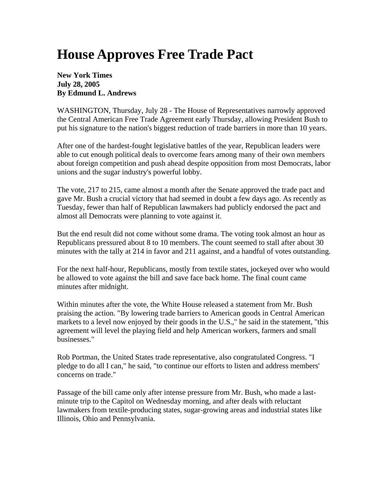## **House Approves Free Trade Pact**

## **New York Times July 28, 2005 By Edmund L. Andrews**

WASHINGTON, Thursday, July 28 - The House of Representatives narrowly approved the Central American Free Trade Agreement early Thursday, allowing President Bush to put his signature to the nation's biggest reduction of trade barriers in more than 10 years.

After one of the hardest-fought legislative battles of the year, Republican leaders were able to cut enough political deals to overcome fears among many of their own members about foreign competition and push ahead despite opposition from most Democrats, labor unions and the sugar industry's powerful lobby.

The vote, 217 to 215, came almost a month after the Senate approved the trade pact and gave Mr. Bush a crucial victory that had seemed in doubt a few days ago. As recently as Tuesday, fewer than half of Republican lawmakers had publicly endorsed the pact and almost all Democrats were planning to vote against it.

But the end result did not come without some drama. The voting took almost an hour as Republicans pressured about 8 to 10 members. The count seemed to stall after about 30 minutes with the tally at 214 in favor and 211 against, and a handful of votes outstanding.

For the next half-hour, Republicans, mostly from textile states, jockeyed over who would be allowed to vote against the bill and save face back home. The final count came minutes after midnight.

Within minutes after the vote, the White House released a statement from Mr. Bush praising the action. "By lowering trade barriers to American goods in Central American markets to a level now enjoyed by their goods in the U.S.," he said in the statement, "this agreement will level the playing field and help American workers, farmers and small businesses."

Rob Portman, the United States trade representative, also congratulated Congress. "I pledge to do all I can," he said, "to continue our efforts to listen and address members' concerns on trade."

Passage of the bill came only after intense pressure from Mr. Bush, who made a lastminute trip to the Capitol on Wednesday morning, and after deals with reluctant lawmakers from textile-producing states, sugar-growing areas and industrial states like Illinois, Ohio and Pennsylvania.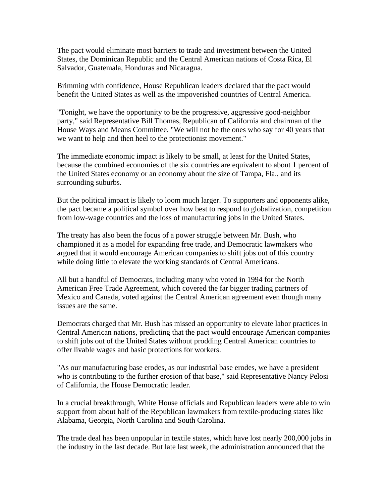The pact would eliminate most barriers to trade and investment between the United States, the Dominican Republic and the Central American nations of Costa Rica, El Salvador, Guatemala, Honduras and Nicaragua.

Brimming with confidence, House Republican leaders declared that the pact would benefit the United States as well as the impoverished countries of Central America.

"Tonight, we have the opportunity to be the progressive, aggressive good-neighbor party," said Representative Bill Thomas, Republican of California and chairman of the House Ways and Means Committee. "We will not be the ones who say for 40 years that we want to help and then heel to the protectionist movement."

The immediate economic impact is likely to be small, at least for the United States, because the combined economies of the six countries are equivalent to about 1 percent of the United States economy or an economy about the size of Tampa, Fla., and its surrounding suburbs.

But the political impact is likely to loom much larger. To supporters and opponents alike, the pact became a political symbol over how best to respond to globalization, competition from low-wage countries and the loss of manufacturing jobs in the United States.

The treaty has also been the focus of a power struggle between Mr. Bush, who championed it as a model for expanding free trade, and Democratic lawmakers who argued that it would encourage American companies to shift jobs out of this country while doing little to elevate the working standards of Central Americans.

All but a handful of Democrats, including many who voted in 1994 for the North American Free Trade Agreement, which covered the far bigger trading partners of Mexico and Canada, voted against the Central American agreement even though many issues are the same.

Democrats charged that Mr. Bush has missed an opportunity to elevate labor practices in Central American nations, predicting that the pact would encourage American companies to shift jobs out of the United States without prodding Central American countries to offer livable wages and basic protections for workers.

"As our manufacturing base erodes, as our industrial base erodes, we have a president who is contributing to the further erosion of that base," said Representative Nancy Pelosi of California, the House Democratic leader.

In a crucial breakthrough, White House officials and Republican leaders were able to win support from about half of the Republican lawmakers from textile-producing states like Alabama, Georgia, North Carolina and South Carolina.

The trade deal has been unpopular in textile states, which have lost nearly 200,000 jobs in the industry in the last decade. But late last week, the administration announced that the